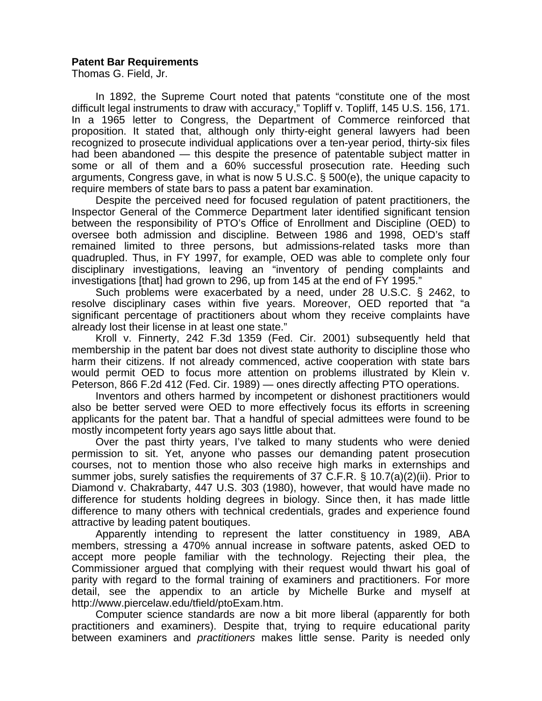## **Patent Bar Requirements**

Thomas G. Field, Jr.

 In 1892, the Supreme Court noted that patents "constitute one of the most difficult legal instruments to draw with accuracy," Topliff v. Topliff, 145 U.S. 156, 171. In a 1965 letter to Congress, the Department of Commerce reinforced that proposition. It stated that, although only thirty-eight general lawyers had been recognized to prosecute individual applications over a ten-year period, thirty-six files had been abandoned — this despite the presence of patentable subject matter in some or all of them and a 60% successful prosecution rate. Heeding such arguments, Congress gave, in what is now 5 U.S.C. § 500(e), the unique capacity to require members of state bars to pass a patent bar examination.

 Despite the perceived need for focused regulation of patent practitioners, the Inspector General of the Commerce Department later identified significant tension between the responsibility of PTO's Office of Enrollment and Discipline (OED) to oversee both admission and discipline. Between 1986 and 1998, OED's staff remained limited to three persons, but admissions-related tasks more than quadrupled. Thus, in FY 1997, for example, OED was able to complete only four disciplinary investigations, leaving an "inventory of pending complaints and investigations [that] had grown to 296, up from 145 at the end of FY 1995."

 Such problems were exacerbated by a need, under 28 U.S.C. § 2462, to resolve disciplinary cases within five years. Moreover, OED reported that "a significant percentage of practitioners about whom they receive complaints have already lost their license in at least one state."

 Kroll v. Finnerty, 242 F.3d 1359 (Fed. Cir. 2001) subsequently held that membership in the patent bar does not divest state authority to discipline those who harm their citizens. If not already commenced, active cooperation with state bars would permit OED to focus more attention on problems illustrated by Klein v. Peterson, 866 F.2d 412 (Fed. Cir. 1989) — ones directly affecting PTO operations.

 Inventors and others harmed by incompetent or dishonest practitioners would also be better served were OED to more effectively focus its efforts in screening applicants for the patent bar. That a handful of special admittees were found to be mostly incompetent forty years ago says little about that.

 Over the past thirty years, I've talked to many students who were denied permission to sit. Yet, anyone who passes our demanding patent prosecution courses, not to mention those who also receive high marks in externships and summer jobs, surely satisfies the requirements of 37 C.F.R. § 10.7(a)(2)(ii). Prior to Diamond v. Chakrabarty, 447 U.S. 303 (1980), however, that would have made no difference for students holding degrees in biology. Since then, it has made little difference to many others with technical credentials, grades and experience found attractive by leading patent boutiques.

 Apparently intending to represent the latter constituency in 1989, ABA members, stressing a 470% annual increase in software patents, asked OED to accept more people familiar with the technology. Rejecting their plea, the Commissioner argued that complying with their request would thwart his goal of parity with regard to the formal training of examiners and practitioners. For more detail, see the appendix to an article by Michelle Burke and myself at http://www.piercelaw.edu/tfield/ptoExam.htm.

 Computer science standards are now a bit more liberal (apparently for both practitioners and examiners). Despite that, trying to require educational parity between examiners and *practitioners* makes little sense. Parity is needed only